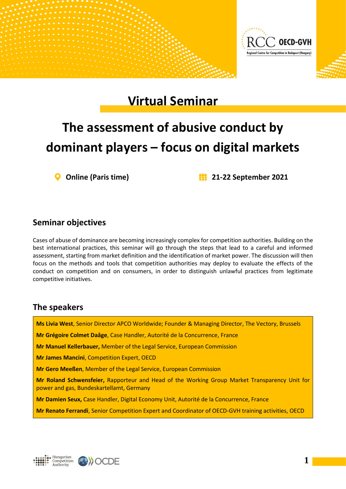

## **Virtual Seminar**

# **The assessment of abusive conduct by dominant players – focus on digital markets**

**Online (Paris time) 21-22 September 2021**

### **Seminar objectives**

Cases of abuse of dominance are becoming increasingly complex for competition authorities. Building on the best international practices, this seminar will go through the steps that lead to a careful and informed assessment, starting from market definition and the identification of market power. The discussion will then focus on the methods and tools that competition authorities may deploy to evaluate the effects of the conduct on competition and on consumers, in order to distinguish unlawful practices from legitimate competitive initiatives.

#### **The speakers**

**Ms Livia West**, Senior Director APCO Worldwide; Founder & Managing Director, The Vectory, Brussels

**Mr Grégoire Colmet Daâge**, Case Handler, Autorité de la Concurrence, France

**Mr Manuel Kellerbauer,** Member of the Legal Service, European Commission

**Mr James Mancini**, Competition Expert, OECD

**Mr Gero Meeßen**, Member of the Legal Service, European Commission

**Mr Roland Schwensfeier,** Rapporteur and Head of the Working Group Market Transparency Unit for power and gas, Bundeskartellamt, Germany

**Mr Damien Seux,** Case Handler, Digital Economy Unit, Autorité de la Concurrence, France

**Mr Renato Ferrandi**, Senior Competition Expert and Coordinator of OECD-GVH training activities, OECD



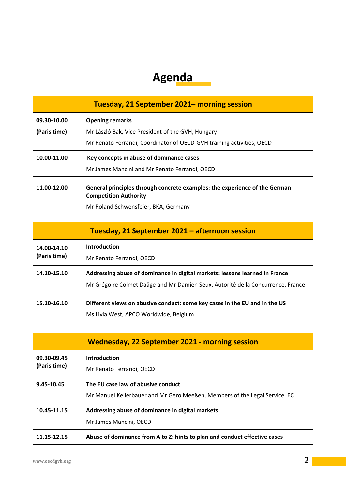## **Agenda**

| Tuesday, 21 September 2021– morning session           |                                                                                                            |  |
|-------------------------------------------------------|------------------------------------------------------------------------------------------------------------|--|
| 09.30-10.00                                           | <b>Opening remarks</b>                                                                                     |  |
| (Paris time)                                          | Mr László Bak, Vice President of the GVH, Hungary                                                          |  |
|                                                       | Mr Renato Ferrandi, Coordinator of OECD-GVH training activities, OECD                                      |  |
| 10.00-11.00                                           | Key concepts in abuse of dominance cases                                                                   |  |
|                                                       | Mr James Mancini and Mr Renato Ferrandi, OECD                                                              |  |
| 11.00-12.00                                           | General principles through concrete examples: the experience of the German<br><b>Competition Authority</b> |  |
|                                                       | Mr Roland Schwensfeier, BKA, Germany                                                                       |  |
| Tuesday, 21 September 2021 - afternoon session        |                                                                                                            |  |
| 14.00-14.10                                           | <b>Introduction</b>                                                                                        |  |
| (Paris time)                                          | Mr Renato Ferrandi, OECD                                                                                   |  |
| 14.10-15.10                                           | Addressing abuse of dominance in digital markets: lessons learned in France                                |  |
|                                                       | Mr Grégoire Colmet Daâge and Mr Damien Seux, Autorité de la Concurrence, France                            |  |
| 15.10-16.10                                           | Different views on abusive conduct: some key cases in the EU and in the US                                 |  |
|                                                       | Ms Livia West, APCO Worldwide, Belgium                                                                     |  |
|                                                       |                                                                                                            |  |
| <b>Wednesday, 22 September 2021 - morning session</b> |                                                                                                            |  |
| 09.30-09.45<br>(Paris time)                           | <b>Introduction</b>                                                                                        |  |
|                                                       | Mr Renato Ferrandi, OECD                                                                                   |  |
| 9.45-10.45                                            | The EU case law of abusive conduct                                                                         |  |
|                                                       | Mr Manuel Kellerbauer and Mr Gero Meeßen, Members of the Legal Service, EC                                 |  |
| 10.45-11.15                                           | Addressing abuse of dominance in digital markets                                                           |  |
|                                                       | Mr James Mancini, OECD                                                                                     |  |
| 11.15-12.15                                           | Abuse of dominance from A to Z: hints to plan and conduct effective cases                                  |  |